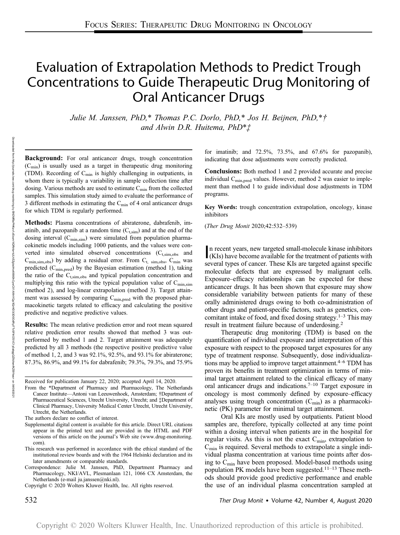# Evaluation of Extrapolation Methods to Predict Trough Concentrations to Guide Therapeutic Drug Monitoring of Oral Anticancer Drugs

Julie M. Janssen, PhD,\* Thomas P.C. Dorlo, PhD,\* Jos H. Beijnen, PhD,\*† and Alwin D.R. Huitema, PhD\*‡

**Background:** For oral anticancer drugs, trough concentration  $(C_{\text{min}})$  is usually used as a target in therapeutic drug monitoring (TDM). Recording of  $C_{\text{min}}$  is highly challenging in outpatients, in whom there is typically a variability in sample collection time after dosing. Various methods are used to estimate  $C_{\text{min}}$  from the collected samples. This simulation study aimed to evaluate the performance of 3 different methods in estimating the  $C_{\text{min}}$  of 4 oral anticancer drugs for which TDM is regularly performed.

Methods: Plasma concentrations of abiraterone, dabrafenib, imatinib, and pazopanib at a random time  $(C_{t,sim})$  and at the end of the dosing interval  $(C_{min,sim})$  were simulated from population pharmacokinetic models including 1000 patients, and the values were converted into simulated observed concentrations  $(C_{t,sim,obs}$  and  $C_{\text{min,sim,obs}}$ ) by adding a residual error. From  $C_{\text{t, sim,obs}}$ ,  $C_{\text{min}}$  was predicted ( $C_{\text{min,pred}}$ ) by the Bayesian estimation (method 1), taking the ratio of the  $C_{t,sim,obs}$  and typical population concentration and multiplying this ratio with the typical population value of  $C_{\text{min,sim}}$ (method 2), and log-linear extrapolation (method 3). Target attainment was assessed by comparing C<sub>min,pred</sub> with the proposed pharmacokinetic targets related to efficacy and calculating the positive predictive and negative predictive values.

Results: The mean relative prediction error and root mean squared relative prediction error results showed that method 3 was outperformed by method 1 and 2. Target attainment was adequately predicted by all 3 methods (the respective positive predictive value of method 1, 2, and 3 was 92.1%, 92.5%, and 93.1% for abiraterone; 87.3%, 86.9%, and 99.1% for dabrafenib; 79.3%, 79.3%, and 75.9%

Received for publication January 22, 2020; accepted April 14, 2020.

- Supplemental digital content is available for this article. Direct URL citations appear in the printed text and are provided in the HTML and PDF versions of this article on the journal's Web site [\(www.drug-monitoring.](http://www.drug-monitoring.com) [com\)](http://www.drug-monitoring.com).
- This research was performed in accordance with the ethical standard of the institutional review boards and with the 1964 Helsinki declaration and its later amendments or comparable standards.

for imatinib; and 72.5%, 73.5%, and 67.6% for pazopanib), indicating that dose adjustments were correctly predicted.

Conclusions: Both method 1 and 2 provided accurate and precise individual  $C_{\text{min, pred}}$  values. However, method 2 was easier to implement than method 1 to guide individual dose adjustments in TDM programs.

Key Words: trough concentration extrapolation, oncology, kinase inhibitors

(Ther Drug Monit 2020;42:532–539)

In recent years, new targeted small-molecule kinase inhibitors<br>(KIs) have become available for the treatment of patients with n recent years, new targeted small-molecule kinase inhibitors several types of cancer. These KIs are targeted against specific molecular defects that are expressed by malignant cells. Exposure–efficacy relationships can be expected for these anticancer drugs. It has been shown that exposure may show considerable variability between patients for many of these orally administered drugs owing to both co-administration of other drugs and patient-specific factors, such as genetics, concomitant intake of food, and fixed dosing strategy.<sup>1–3</sup> This may result in treatment failure because of underdosing.2

Therapeutic drug monitoring (TDM) is based on the quantification of individual exposure and interpretation of this exposure with respect to the proposed target exposures for any type of treatment response. Subsequently, dose individualizations may be applied to improve target attainment. $4-6$  TDM has proven its benefits in treatment optimization in terms of minimal target attainment related to the clinical efficacy of many oral anticancer drugs and indications.7–<sup>10</sup> Target exposure in oncology is most commonly defined by exposure–efficacy analyses using trough concentration  $(C_{\text{min}})$  as a pharmacokinetic (PK) parameter for minimal target attainment.

Oral KIs are mostly used by outpatients. Patient blood samples are, therefore, typically collected at any time point within a dosing interval when patients are in the hospital for regular visits. As this is not the exact  $C_{\text{min}}$ , extrapolation to  $C_{\text{min}}$  is required. Several methods to extrapolate a single individual plasma concentration at various time points after dosing to Cmin have been proposed. Model-based methods using population PK models have been suggested.11–<sup>13</sup> These methods should provide good predictive performance and enable the use of an individual plasma concentration sampled at

532 Ther Drug Monit Volume 42, Number 4, August 2020

From the \*Department of Pharmacy and Pharmacology, The Netherlands Cancer Institute—Antoni van Leeuwenhoek, Amsterdam; †Department of Pharmaceutical Sciences, Utrecht University, Utrecht; and ‡Department of Clinical Pharmacy, University Medical Center Utrecht, Utrecht University, Utrecht, the Netherlands.

The authors declare no conflict of interest.

Correspondence: Julie M. Janssen, PhD, Department Pharmacy and Pharmacology, NKI/AVL, Plesmanlaan 121, 1066 CX Amsterdam, the Netherlands (e-mail [ju.janssen@nki.nl\)](mailto:ju.janssen@nki.nl).

Copyright © 2020 Wolters Kluwer Health, Inc. All rights reserved.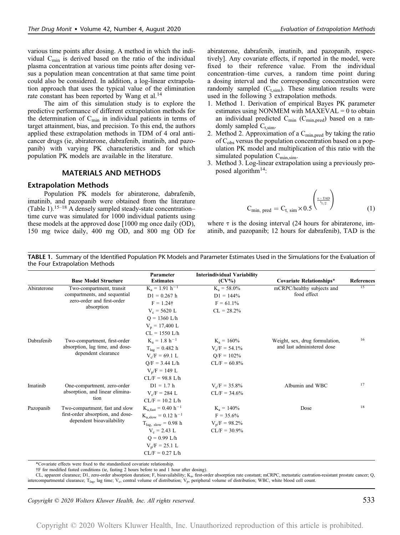various time points after dosing. A method in which the individual C<sub>min</sub> is derived based on the ratio of the individual plasma concentration at various time points after dosing versus a population mean concentration at that same time point could also be considered. In addition, a log-linear extrapolation approach that uses the typical value of the elimination rate constant has been reported by Wang et al.<sup>14</sup>

The aim of this simulation study is to explore the predictive performance of different extrapolation methods for the determination of  $C_{\text{min}}$  in individual patients in terms of target attainment, bias, and precision. To this end, the authors applied these extrapolation methods in TDM of 4 oral anticancer drugs (ie, abiraterone, dabrafenib, imatinib, and pazopanib) with varying PK characteristics and for which population PK models are available in the literature.

#### MATERIALS AND METHODS

#### Extrapolation Methods

Population PK models for abiraterone, dabrafenib, imatinib, and pazopanib were obtained from the literature (Table 1).<sup>15–18</sup> A densely sampled steady-state concentration– time curve was simulated for 1000 individual patients using these models at the approved dose [1000 mg once daily (OD), 150 mg twice daily, 400 mg OD, and 800 mg OD for abiraterone, dabrafenib, imatinib, and pazopanib, respectively]. Any covariate effects, if reported in the model, were fixed to their reference value. From the individual concentration–time curves, a random time point during a dosing interval and the corresponding concentration were randomly sampled  $(C_{t,sim})$ . These simulation results were used in the following 3 extrapolation methods.

- 1. Method 1. Derivation of empirical Bayes PK parameter estimates using NONMEM with  $MAXEVAL = 0$  to obtain an individual predicted  $C_{\text{min}}$  ( $C_{\text{min,pred}}$ ) based on a randomly sampled  $C_{t,sim}$ .
- 2. Method 2. Approximation of a  $C_{\text{min,pred}}$  by taking the ratio of C<sub>obs</sub> versus the population concentration based on a population PK model and multiplication of this ratio with the simulated population  $C_{\text{min,sim}}$ .
- 3. Method 3. Log-linear extrapolation using a previously proposed algorithm14:

$$
C_{min, pred} = C_{t, sim} \times 0.5^{\left(\frac{\tau - TAD}{t_{1/2}}\right)}
$$
(1)

where  $\tau$  is the dosing interval (24 hours for abiraterone, imatinib, and pazopanib; 12 hours for dabrafenib), TAD is the

TABLE 1. Summary of the Identified Population PK Models and Parameter Estimates Used in the Simulations for the Evaluation of the Four Extrapolation Methods

| <b>Covariate Relationships*</b> | References |
|---------------------------------|------------|
| mCRPC/healthy subjects and      | 15         |
| food effect                     |            |
|                                 |            |
|                                 |            |
|                                 |            |
|                                 |            |
|                                 |            |
| Weight, sex, drug formulation,  | 16         |
| and last administered dose      |            |
|                                 |            |
|                                 |            |
|                                 |            |
|                                 |            |
| Albumin and WBC                 | 17         |
|                                 |            |
|                                 |            |
| Dose                            | 18         |
|                                 |            |
|                                 |            |
|                                 |            |
|                                 |            |
|                                 |            |
|                                 |            |
|                                 |            |

\*Covariate effects were fixed to the standardized covariate relationship.

†F for modified fasted conditions (ie, fasting 2 hours before to and 1 hour after dosing).

CL, apparent clearance; D1, zero-order absorption duration; F, bioavailability; Ka, first-order absorption rate constant; mCRPC, metastatic castration-resistant prostate cancer; Q, intercompartmental clearance; T<sub>lag</sub>, lag time; V<sub>c</sub>, central volume of distribution; V<sub>p</sub>, peripheral volume of distribution; WBC, white blood cell count.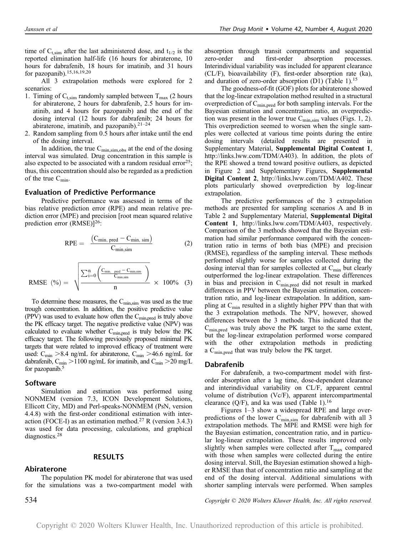time of  $C_{t,sim}$  after the last administered dose, and  $t_{1/2}$  is the reported elimination half-life (16 hours for abiraterone, 10 hours for dabrafenib, 18 hours for imatinib, and 31 hours for pazopanib).15,16,19,20

All 3 extrapolation methods were explored for 2 scenarios:

- 1. Timing of  $C_{t,sim}$  randomly sampled between  $T_{max}$  (2 hours for abiraterone, 2 hours for dabrafenib, 2.5 hours for imatinib, and 4 hours for pazopanib) and the end of the dosing interval (12 hours for dabrafenib; 24 hours for abiraterone, imatinib, and pazopanib). $21-24$
- 2. Random sampling from 0.5 hours after intake until the end of the dosing interval.

In addition, the true  $C_{\text{min,sim,obs}}$  at the end of the dosing interval was simulated. Drug concentration in this sample is also expected to be associated with a random residual error $^{25}$ ; thus, this concentration should also be regarded as a prediction of the true  $C_{\text{min}}$ .

# Evaluation of Predictive Performance

Predictive performance was assessed in terms of the bias relative prediction error (RPE) and mean relative prediction error (MPE) and precision [root mean squared relative prediction error  $(RMSE)$ <sup>26</sup>:

$$
RPE = \frac{(C_{min, pred} - C_{min, sim})}{C_{min, sim}}
$$
 (2)

$$
\text{RMSE} \hspace{2mm} (\%) = \hspace{2mm} \sqrt{\frac{\sum_{i=0}^{n} \left(\frac{C_{min. \hspace{1mm} pred} - C_{min, sim}}{C_{min, sim}}\right)}{n}} \hspace{2mm} \times \hspace{2mm} 100\% \hspace{2mm} (3)
$$

To determine these measures, the  $C_{\text{min,sim}}$  was used as the true trough concentration. In addition, the positive predictive value (PPV) was used to evaluate how often the  $C_{\text{min,pred}}$  is truly above the PK efficacy target. The negative predictive value (NPV) was calculated to evaluate whether  $C_{\text{min,pred}}$  is truly below the PK efficacy target. The following previously proposed minimal PK targets that were related to improved efficacy of treatment were used:  $C_{\text{min}} > 8.4$  ng/mL for abiraterone,  $C_{\text{min}} > 46.6$  ng/mL for dabrafenib,  $C_{\text{min}} > 1100$  ng/mL for imatinib, and  $C_{\text{min}} > 20$  mg/L for pazopanib.<sup>5</sup>

#### Software

Simulation and estimation was performed using NONMEM (version 7.3, ICON Development Solutions, Ellicott City, MD) and Perl-speaks-NONMEM (PsN, version 4.4.8) with the first-order conditional estimation with interaction (FOCE-I) as an estimation method.<sup>27</sup> R (version 3.4.3) was used for data processing, calculations, and graphical diagnostics.<sup>28</sup>

# RESULTS

#### Abiraterone

The population PK model for abiraterone that was used for the simulations was a two-compartment model with

absorption through transit compartments and sequential zero-order and first-order absorption processes. Interindividual variability was included for apparent clearance (CL/F), bioavailability (F), first-order absorption rate (ka), and duration of zero-order absorption (D1) (Table 1).<sup>15</sup>

The goodness-of-fit (GOF) plots for abiraterone showed that the log-linear extrapolation method resulted in a structural overprediction of  $C_{\text{min,pred}}$  for both sampling intervals. For the Bayesian estimation and concentration ratio, an overprediction was present in the lower true  $C_{\text{min,sim}}$  values (Figs. 1, 2). This overprediction seemed to worsen when the single samples were collected at various time points during the entire dosing intervals (detailed results are presented in Supplementary Material, Supplemental Digital Content 1, [http://links.lww.com/TDM/A403\)](http://links.lww.com/TDM/A403). In addition, the plots of the RPE showed a trend toward positive outliers, as depicted in Figure 2 and Supplementary Figures, Supplemental Digital Content 2, [http://links.lww.com/TDM/A402.](http://links.lww.com/TDM/A402) These plots particularly showed overprediction by log-linear extrapolation.

The predictive performances of the 3 extrapolation methods are presented for sampling scenarios A and B in Table 2 and Supplementary Material, Supplemental Digital Content 1,<http://links.lww.com/TDM/A403>, respectively. Comparison of the 3 methods showed that the Bayesian estimation had similar performance compared with the concentration ratio in terms of both bias (MPE) and precision (RMSE), regardless of the sampling interval. These methods performed slightly worse for samples collected during the dosing interval than for samples collected at C<sub>min</sub> but clearly outperformed the log-linear extrapolation. These differences in bias and precision in  $C_{\text{min,pred}}$  did not result in marked differences in PPV between the Bayesian estimation, concentration ratio, and log-linear extrapolation. In addition, sampling at  $C_{\text{min}}$  resulted in a slightly higher PPV than that with the 3 extrapolation methods. The NPV, however, showed differences between the 3 methods. This indicated that the  $C_{\text{min,pred}}$  was truly above the PK target to the same extent, but the log-linear extrapolation performed worse compared with the other extrapolation methods in predicting a Cmin,pred that was truly below the PK target.

# Dabrafenib

For dabrafenib, a two-compartment model with firstorder absorption after a lag time, dose-dependent clearance and interindividual variability on CL/F, apparent central volume of distribution (Vc/F), apparent intercompartmental clearance  $(Q/F)$ , and ka was used (Table 1).<sup>16</sup>

Figures 1–3 show a widespread RPE and large overpredictions of the lower C<sub>min,sim</sub> for dabrafenib with all 3 extrapolation methods. The MPE and RMSE were high for the Bayesian estimation, concentration ratio, and in particular log-linear extrapolation. These results improved only slightly when samples were collected after  $T_{\text{max}}$  compared with those when samples were collected during the entire dosing interval. Still, the Bayesian estimation showed a higher RMSE than that of concentration ratio and sampling at the end of the dosing interval. Additional simulations with shorter sampling intervals were performed. When samples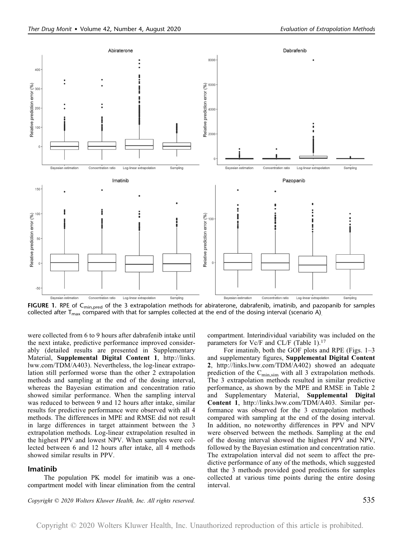

FIGURE 1. RPE of C<sub>min,pred</sub> of the 3 extrapolation methods for abiraterone, dabrafenib, imatinib, and pazopanib for samples collected after  $T_{\text{max}}$  compared with that for samples collected at the end of the dosing interval (scenario A).

were collected from 6 to 9 hours after dabrafenib intake until the next intake, predictive performance improved considerably (detailed results are presented in Supplementary Material, Supplemental Digital Content 1, [http://links.](http://links.lww.com/TDM/A403) [lww.com/TDM/A403](http://links.lww.com/TDM/A403)). Nevertheless, the log-linear extrapolation still performed worse than the other 2 extrapolation methods and sampling at the end of the dosing interval, whereas the Bayesian estimation and concentration ratio showed similar performance. When the sampling interval was reduced to between 9 and 12 hours after intake, similar results for predictive performance were observed with all 4 methods. The differences in MPE and RMSE did not result in large differences in target attainment between the 3 extrapolation methods. Log-linear extrapolation resulted in the highest PPV and lowest NPV. When samples were collected between 6 and 12 hours after intake, all 4 methods showed similar results in PPV.

# Imatinib

The population PK model for imatinib was a onecompartment model with linear elimination from the central

Copyright © 2020 Wolters Kluwer Health, Inc. All rights reserved. 535

compartment. Interindividual variability was included on the parameters for Vc/F and CL/F (Table 1).<sup>17</sup>

For imatinib, both the GOF plots and RPE (Figs. 1–3 and supplementary figures, Supplemental Digital Content 2,<http://links.lww.com/TDM/A402>) showed an adequate prediction of the  $C_{\text{min,sim}}$  with all 3 extrapolation methods. The 3 extrapolation methods resulted in similar predictive performance, as shown by the MPE and RMSE in Table 2 and Supplementary Material, Supplemental Digital Content 1,<http://links.lww.com/TDM/A403>. Similar performance was observed for the 3 extrapolation methods compared with sampling at the end of the dosing interval. In addition, no noteworthy differences in PPV and NPV were observed between the methods. Sampling at the end of the dosing interval showed the highest PPV and NPV, followed by the Bayesian estimation and concentration ratio. The extrapolation interval did not seem to affect the predictive performance of any of the methods, which suggested that the 3 methods provided good predictions for samples collected at various time points during the entire dosing interval.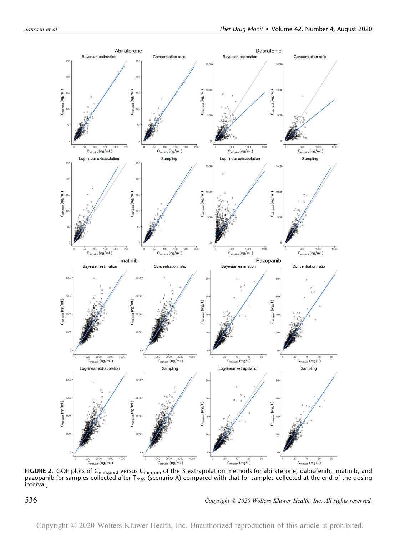

FIGURE 2. GOF plots of C<sub>min,pred</sub> versus C<sub>min,sim</sub> of the 3 extrapolation methods for abiraterone, dabrafenib, imatinib, and pazopanib for samples collected after T<sub>max</sub> (scenario A) compared with that for samples collected at the end of the dosing interval.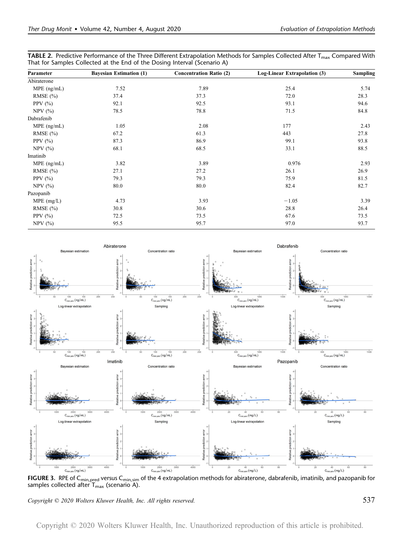| <code>TABLE 2.</code> Predictive Performance of the Three Different Extrapolation Methods for Samples Collected After T $_{\rm max}$ Compared With |  |
|----------------------------------------------------------------------------------------------------------------------------------------------------|--|
| That for Samples Collected at the End of the Dosing Interval (Scenario A)                                                                          |  |

| Parameter     | <b>Bayesian Estimation (1)</b> | <b>Concentration Ratio (2)</b> | Log-Linear Extrapolation (3) | <b>Sampling</b> |
|---------------|--------------------------------|--------------------------------|------------------------------|-----------------|
| Abiraterone   |                                |                                |                              |                 |
| MPE (ng/mL)   | 7.52                           | 7.89                           | 25.4                         | 5.74            |
| RMSE $(\% )$  | 37.4                           | 37.3                           | 72.0                         | 28.3            |
| PPV $(\% )$   | 92.1                           | 92.5                           | 93.1                         | 94.6            |
| NPV $(\% )$   | 78.5                           | 78.8                           | 71.5                         | 84.8            |
| Dabrafenib    |                                |                                |                              |                 |
| $MPE$ (ng/mL) | 1.05                           | 2.08                           | 177                          | 2.43            |
| RMSE $(\% )$  | 67.2                           | 61.3                           | 443                          | 27.8            |
| PPV $(\% )$   | 87.3                           | 86.9                           | 99.1                         | 93.8            |
| NPV $(%)$     | 68.1                           | 68.5                           | 33.1                         | 88.5            |
| Imatinib      |                                |                                |                              |                 |
| $MPE$ (ng/mL) | 3.82                           | 3.89                           | 0.976                        | 2.93            |
| RMSE $(\% )$  | 27.1                           | 27.2                           | 26.1                         | 26.9            |
| PPV $(\% )$   | 79.3                           | 79.3                           | 75.9                         | 81.5            |
| $NPV$ $(\%)$  | 80.0                           | 80.0                           | 82.4                         | 82.7            |
| Pazopanib     |                                |                                |                              |                 |
| $MPE$ (mg/L)  | 4.73                           | 3.93                           | $-1.05$                      | 3.39            |
| RMSE $(\% )$  | 30.8                           | 30.6                           | 28.8                         | 26.4            |
| PPV $(\% )$   | 72.5                           | 73.5                           | 67.6                         | 73.5            |
| $NPV$ $(\%)$  | 95.5                           | 95.7                           | 97.0                         | 93.7            |



FIGURE 3. RPE of C<sub>min,pred</sub> versus C<sub>min,sim</sub> of the 4 extrapolation methods for abiraterone, dabrafenib, imatinib, and pazopanib for samples collected after  $T_{\text{max}}$  (scenario A).

Copyright © 2020 Wolters Kluwer Health, Inc. All rights reserved. 537

Copyright © 2020 Wolters Kluwer Health, Inc. Unauthorized reproduction of this article is prohibited.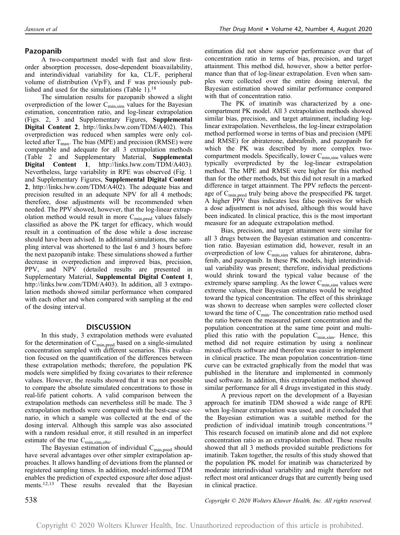# Pazopanib

A two-compartment model with fast and slow firstorder absorption processes, dose-dependent bioavailability, and interindividual variability for ka, CL/F, peripheral volume of distribution (Vp/F), and F was previously published and used for the simulations (Table 1). $18$ 

The simulation results for pazopanib showed a slight overprediction of the lower  $C_{\text{min,sim}}$  values for the Bayesian estimation, concentration ratio, and log-linear extrapolation (Figs. 2, 3 and Supplementary Figures, Supplemental Digital Content 2,<http://links.lww.com/TDM/A402>). This overprediction was reduced when samples were only collected after  $T_{\text{max}}$ . The bias (MPE) and precision (RMSE) were comparable and adequate for all 3 extrapolation methods (Table 2 and Supplementary Material, Supplemental Digital Content 1, [http://links.lww.com/TDM/A403\)](http://links.lww.com/TDM/A403). Nevertheless, large variability in RPE was observed (Fig. 1 and Supplementary Figures, Supplemental Digital Content 2,<http://links.lww.com/TDM/A402>). The adequate bias and precision resulted in an adequate NPV for all 4 methods; therefore, dose adjustments will be recommended when needed. The PPV showed, however, that the log-linear extrapolation method would result in more  $C_{\text{min,pred}}$  values falsely classified as above the PK target for efficacy, which would result in a continuation of the dose while a dose increase should have been advised. In additional simulations, the sampling interval was shortened to the last 6 and 3 hours before the next pazopanib intake. These simulations showed a further decrease in overprediction and improved bias, precision, PPV, and NPV (detailed results are presented in Supplementary Material, Supplemental Digital Content 1, [http://links.lww.com/TDM/A403\)](http://links.lww.com/TDM/A403). In addition, all 3 extrapolation methods showed similar performance when compared with each other and when compared with sampling at the end of the dosing interval.

### **DISCUSSION**

In this study, 3 extrapolation methods were evaluated for the determination of  $C_{\text{min,pred}}$  based on a single-simulated concentration sampled with different scenarios. This evaluation focused on the quantification of the differences between these extrapolation methods; therefore, the population PK models were simplified by fixing covariates to their reference values. However, the results showed that it was not possible to compare the absolute simulated concentrations to those in real-life patient cohorts. A valid comparison between the extrapolation methods can nevertheless still be made. The 3 extrapolation methods were compared with the best-case scenario, in which a sample was collected at the end of the dosing interval. Although this sample was also associated with a random residual error, it still resulted in an imperfect estimate of the true  $C_{\text{min,sim,obs}}$ .

The Bayesian estimation of individual  $C_{\text{min,pred}}$  should have several advantages over other simpler extrapolation approaches. It allows handling of deviations from the planned or registered sampling times. In addition, model-informed TDM enables the prediction of expected exposure after dose adjustments.<sup>12,13</sup> These results revealed that the Bayesian estimation did not show superior performance over that of concentration ratio in terms of bias, precision, and target attainment. This method did, however, show a better performance than that of log-linear extrapolation. Even when samples were collected over the entire dosing interval, the Bayesian estimation showed similar performance compared with that of concentration ratio.

The PK of imatinib was characterized by a onecompartment PK model. All 3 extrapolation methods showed similar bias, precision, and target attainment, including loglinear extrapolation. Nevertheless, the log-linear extrapolation method performed worse in terms of bias and precision (MPE and RMSE) for abiraterone, dabrafenib, and pazopanib for which the PK was described by more complex twocompartment models. Specifically, lower C<sub>min,sim</sub> values were typically overpredicted by the log-linear extrapolation method. The MPE and RMSE were higher for this method than for the other methods, but this did not result in a marked difference in target attainment. The PPV reflects the percentage of C<sub>min,pred</sub> truly being above the prespecified PK target. A higher PPV thus indicates less false positives for which a dose adjustment is not advised, although this would have been indicated. In clinical practice, this is the most important measure for an adequate extrapolation method.

Bias, precision, and target attainment were similar for all 3 drugs between the Bayesian estimation and concentration ratio. Bayesian estimation did, however, result in an overprediction of low C<sub>min,sim</sub> values for abiraterone, dabrafenib, and pazopanib. In these PK models, high interindividual variability was present; therefore, individual predictions would shrink toward the typical value because of the extremely sparse sampling. As the lower  $C_{\text{min,sim}}$  values were extreme values, their Bayesian estimates would be weighted toward the typical concentration. The effect of this shrinkage was shown to decrease when samples were collected closer toward the time of  $C_{\text{min}}$ . The concentration ratio method used the ratio between the measured patient concentration and the population concentration at the same time point and multiplied this ratio with the population  $C_{\text{min,sim}}$ . Hence, this method did not require estimation by using a nonlinear mixed-effects software and therefore was easier to implement in clinical practice. The mean population concentration–time curve can be extracted graphically from the model that was published in the literature and implemented in commonly used software. In addition, this extrapolation method showed similar performance for all 4 drugs investigated in this study.

A previous report on the development of a Bayesian approach for imatinib TDM showed a wide range of RPE when log-linear extrapolation was used, and it concluded that the Bayesian estimation was a suitable method for the prediction of individual imatinib trough concentrations.<sup>19</sup> This research focused on imatinib alone and did not explore concentration ratio as an extrapolation method. These results showed that all 3 methods provided suitable predictions for imatinib. Taken together, the results of this study showed that the population PK model for imatinib was characterized by moderate interindividual variability and might therefore not reflect most oral anticancer drugs that are currently being used in clinical practice.